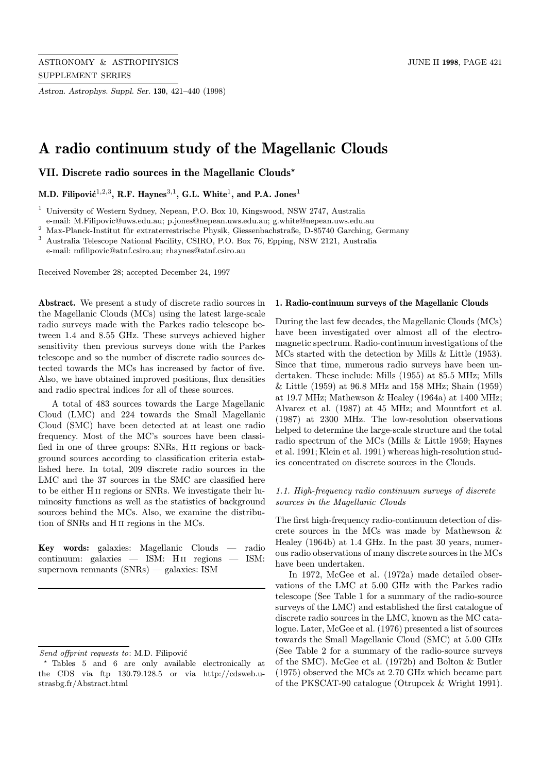Astron. Astrophys. Suppl. Ser. 130, 421–440 (1998)

# A radio continuum study of the Magellanic Clouds

VII. Discrete radio sources in the Magellanic Clouds?

M.D. Filipović<sup>1,2,3</sup>, R.F. Haynes<sup>3,1</sup>, G.L. White<sup>1</sup>, and P.A. Jones<sup>1</sup>

<sup>1</sup> University of Western Sydney, Nepean, P.O. Box 10, Kingswood, NSW 2747, Australia e-mail: M.Filipovic@uws.edu.au; p.jones@nepean.uws.edu.au; g.white@nepean.uws.edu.au

 $^2$ Max-Planck-Institut für extraterrestrische Physik, Giessenbachstraße, D-85740 Garching, Germany

<sup>3</sup> Australia Telescope National Facility, CSIRO, P.O. Box 76, Epping, NSW 2121, Australia

e-mail: mfilipovic@atnf.csiro.au; rhaynes@atnf.csiro.au

Received November 28; accepted December 24, 1997

Abstract. We present a study of discrete radio sources in the Magellanic Clouds (MCs) using the latest large-scale radio surveys made with the Parkes radio telescope between 1.4 and 8.55 GHz. These surveys achieved higher sensitivity then previous surveys done with the Parkes telescope and so the number of discrete radio sources detected towards the MCs has increased by factor of five. Also, we have obtained improved positions, flux densities and radio spectral indices for all of these sources.

A total of 483 sources towards the Large Magellanic Cloud (LMC) and 224 towards the Small Magellanic Cloud (SMC) have been detected at at least one radio frequency. Most of the MC's sources have been classified in one of three groups: SNRs, H ii regions or background sources according to classification criteria established here. In total, 209 discrete radio sources in the LMC and the 37 sources in the SMC are classified here to be either H ii regions or SNRs. We investigate their luminosity functions as well as the statistics of background sources behind the MCs. Also, we examine the distribution of SNRs and H ii regions in the MCs.

Key words: galaxies: Magellanic Clouds — radio continuum: galaxies — ISM: Hii regions — ISM: supernova remnants (SNRs) — galaxies: ISM

#### 1. Radio-continuum surveys of the Magellanic Clouds

During the last few decades, the Magellanic Clouds (MCs) have been investigated over almost all of the electromagnetic spectrum. Radio-continuum investigations of the MCs started with the detection by Mills & Little (1953). Since that time, numerous radio surveys have been undertaken. These include: Mills (1955) at 85.5 MHz; Mills & Little (1959) at 96.8 MHz and 158 MHz; Shain (1959) at 19.7 MHz; Mathewson & Healey (1964a) at 1400 MHz; Alvarez et al. (1987) at 45 MHz; and Mountfort et al. (1987) at 2300 MHz. The low-resolution observations helped to determine the large-scale structure and the total radio spectrum of the MCs (Mills & Little 1959; Haynes et al. 1991; Klein et al. 1991) whereas high-resolution studies concentrated on discrete sources in the Clouds.

# 1.1. High-frequency radio continuum surveys of discrete sources in the Magellanic Clouds

The first high-frequency radio-continuum detection of discrete sources in the MCs was made by Mathewson & Healey (1964b) at 1.4 GHz. In the past 30 years, numerous radio observations of many discrete sources in the MCs have been undertaken.

In 1972, McGee et al. (1972a) made detailed observations of the LMC at 5.00 GHz with the Parkes radio telescope (See Table 1 for a summary of the radio-source surveys of the LMC) and established the first catalogue of discrete radio sources in the LMC, known as the MC catalogue. Later, McGee et al. (1976) presented a list of sources towards the Small Magellanic Cloud (SMC) at 5.00 GHz (See Table 2 for a summary of the radio-source surveys of the SMC). McGee et al. (1972b) and Bolton & Butler (1975) observed the MCs at 2.70 GHz which became part of the PKSCAT-90 catalogue (Otrupcek & Wright 1991).

Send offprint requests to: M.D. Filipović

<sup>?</sup> Tables 5 and 6 are only available electronically at the CDS via ftp 130.79.128.5 or via http://cdsweb.ustrasbg.fr/Abstract.html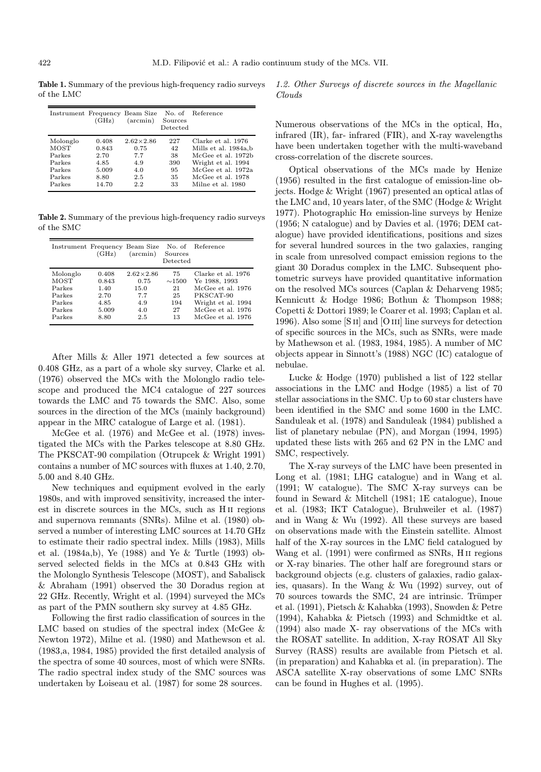Table 1. Summary of the previous high-frequency radio surveys of the LMC

| Instrument Frequency Beam Size | (GHz) | $(\arcsin)$      | Sources<br>Detected | No. of Reference      |
|--------------------------------|-------|------------------|---------------------|-----------------------|
| Molonglo                       | 0.408 | $2.62\times2.86$ | 227                 | Clarke et al. 1976    |
| MOST                           | 0.843 | 0.75             | 42                  | Mills et al. 1984a, b |
| Parkes                         | 2.70  | 7.7              | 38                  | McGee et al. 1972b    |
| Parkes                         | 4.85  | 4.9              | 390                 | Wright et al. 1994    |
| Parkes                         | 5.009 | 4.0              | 95                  | McGee et al. 1972a    |
| Parkes                         | 8.80  | 2.5              | 35                  | McGee et al. 1978     |
| Parkes                         | 14.70 | 2.2              | 33                  | Milne et al. 1980     |

Table 2. Summary of the previous high-frequency radio surveys of the SMC

| Instrument Frequency Beam Size | (GHz) | $(\arcsin)$        | Sources<br>Detected | No. of Reference   |
|--------------------------------|-------|--------------------|---------------------|--------------------|
| Molonglo                       | 0.408 | $2.62 \times 2.86$ | 75                  | Clarke et al. 1976 |
| <b>MOST</b>                    | 0.843 | 0.75               | $\sim$ 1500         | Ye 1988, 1993      |
| Parkes                         | 1.40  | 15.0               | 21                  | McGee et al. 1976  |
| Parkes                         | 2.70  | 7.7                | 25                  | PKSCAT-90          |
| Parkes                         | 4.85  | 4.9                | 194                 | Wright et al. 1994 |
| Parkes                         | 5.009 | 4.0                | 27                  | McGee et al. 1976  |
| Parkes                         | 8.80  | 2.5                | 13                  | McGee et al. 1976  |

After Mills & Aller 1971 detected a few sources at 0.408 GHz, as a part of a whole sky survey, Clarke et al. (1976) observed the MCs with the Molonglo radio telescope and produced the MC4 catalogue of 227 sources towards the LMC and 75 towards the SMC. Also, some sources in the direction of the MCs (mainly background) appear in the MRC catalogue of Large et al. (1981).

McGee et al. (1976) and McGee et al. (1978) investigated the MCs with the Parkes telescope at 8.80 GHz. The PKSCAT-90 compilation (Otrupcek & Wright 1991) contains a number of MC sources with fluxes at 1.40, 2.70, 5.00 and 8.40 GHz.

New techniques and equipment evolved in the early 1980s, and with improved sensitivity, increased the interest in discrete sources in the MCs, such as H ii regions and supernova remnants (SNRs). Milne et al. (1980) observed a number of interesting LMC sources at 14.70 GHz to estimate their radio spectral index. Mills (1983), Mills et al. (1984a,b), Ye (1988) and Ye & Turtle (1993) observed selected fields in the MCs at 0.843 GHz with the Molonglo Synthesis Telescope (MOST), and Sabalisck & Abraham (1991) observed the 30 Doradus region at 22 GHz. Recently, Wright et al. (1994) surveyed the MCs as part of the PMN southern sky survey at 4.85 GHz.

Following the first radio classification of sources in the LMC based on studies of the spectral index (McGee & Newton 1972), Milne et al. (1980) and Mathewson et al. (1983,a, 1984, 1985) provided the first detailed analysis of the spectra of some 40 sources, most of which were SNRs. The radio spectral index study of the SMC sources was undertaken by Loiseau et al. (1987) for some 28 sources.

1.2. Other Surveys of discrete sources in the Magellanic Clouds

Numerous observations of the MCs in the optical,  $H\alpha$ , infrared (IR), far- infrared (FIR), and X-ray wavelengths have been undertaken together with the multi-waveband cross-correlation of the discrete sources.

Optical observations of the MCs made by Henize (1956) resulted in the first catalogue of emission-line objects. Hodge & Wright (1967) presented an optical atlas of the LMC and, 10 years later, of the SMC (Hodge & Wright 1977). Photographic H $\alpha$  emission-line surveys by Henize (1956; N catalogue) and by Davies et al. (1976; DEM catalogue) have provided identifications, positions and sizes for several hundred sources in the two galaxies, ranging in scale from unresolved compact emission regions to the giant 30 Doradus complex in the LMC. Subsequent photometric surveys have provided quantitative information on the resolved MCs sources (Caplan & Deharveng 1985; Kennicutt & Hodge 1986; Bothun & Thompson 1988; Copetti & Dottori 1989; le Coarer et al. 1993; Caplan et al. 1996). Also some [S ii] and [O iii] line surveys for detection of specific sources in the MCs, such as SNRs, were made by Mathewson et al. (1983, 1984, 1985). A number of MC objects appear in Sinnott's (1988) NGC (IC) catalogue of nebulae.

Lucke & Hodge (1970) published a list of 122 stellar associations in the LMC and Hodge (1985) a list of 70 stellar associations in the SMC. Up to 60 star clusters have been identified in the SMC and some 1600 in the LMC. Sanduleak et al. (1978) and Sanduleak (1984) published a list of planetary nebulae (PN), and Morgan (1994, 1995) updated these lists with 265 and 62 PN in the LMC and SMC, respectively.

The X-ray surveys of the LMC have been presented in Long et al. (1981; LHG catalogue) and in Wang et al. (1991; W catalogue). The SMC X-ray surveys can be found in Seward & Mitchell (1981; 1E catalogue), Inoue et al. (1983; IKT Catalogue), Bruhweiler et al. (1987) and in Wang & Wu (1992). All these surveys are based on observations made with the Einstein satellite. Almost half of the X-ray sources in the LMC field catalogued by Wang et al. (1991) were confirmed as SNRs, H ii regions or X-ray binaries. The other half are foreground stars or background objects (e.g. clusters of galaxies, radio galaxies, quasars). In the Wang & Wu (1992) survey, out of 70 sources towards the SMC, 24 are intrinsic. Trümper et al. (1991), Pietsch & Kahabka (1993), Snowden & Petre (1994), Kahabka & Pietsch (1993) and Schmidtke et al. (1994) also made X- ray observations of the MCs with the ROSAT satellite. In addition, X-ray ROSAT All Sky Survey (RASS) results are available from Pietsch et al. (in preparation) and Kahabka et al. (in preparation). The ASCA satellite X-ray observations of some LMC SNRs can be found in Hughes et al. (1995).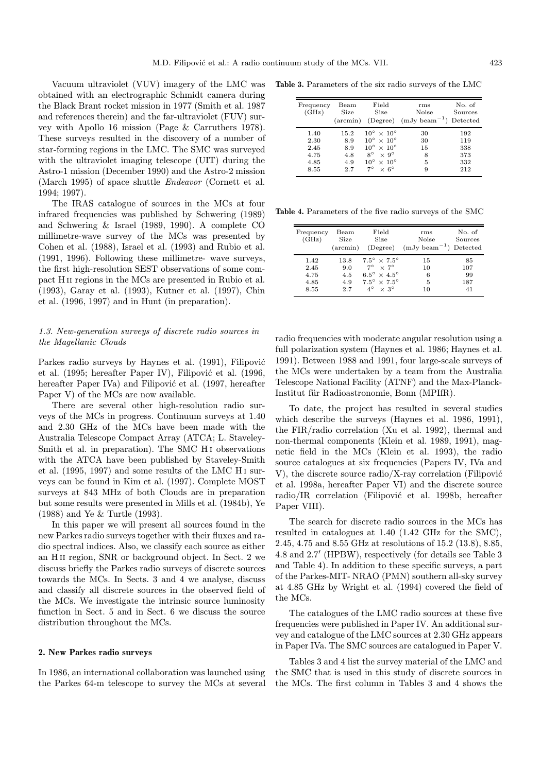Vacuum ultraviolet (VUV) imagery of the LMC was obtained with an electrographic Schmidt camera during the Black Brant rocket mission in 1977 (Smith et al. 1987 and references therein) and the far-ultraviolet (FUV) survey with Apollo 16 mission (Page & Carruthers 1978). These surveys resulted in the discovery of a number of star-forming regions in the LMC. The SMC was surveyed with the ultraviolet imaging telescope (UIT) during the Astro-1 mission (December 1990) and the Astro-2 mission (March 1995) of space shuttle Endeavor (Cornett et al. 1994; 1997).

The IRAS catalogue of sources in the MCs at four infrared frequencies was published by Schwering (1989) and Schwering & Israel (1989, 1990). A complete CO millimetre-wave survey of the MCs was presented by Cohen et al. (1988), Israel et al. (1993) and Rubio et al. (1991, 1996). Following these millimetre- wave surveys, the first high-resolution SEST observations of some compact H ii regions in the MCs are presented in Rubio et al. (1993), Garay et al. (1993), Kutner et al. (1997), Chin et al. (1996, 1997) and in Hunt (in preparation).

# 1.3. New-generation surveys of discrete radio sources in the Magellanic Clouds

Parkes radio surveys by Haynes et al. (1991), Filipović et al.  $(1995; hereafter Paper IV)$ , Filipović et al.  $(1996;$ hereafter Paper IVa) and Filipović et al. (1997, hereafter Paper V) of the MCs are now available.

There are several other high-resolution radio surveys of the MCs in progress. Continuum surveys at 1.40 and 2.30 GHz of the MCs have been made with the Australia Telescope Compact Array (ATCA; L. Staveley-Smith et al. in preparation). The SMC H<sub>I</sub> observations with the ATCA have been published by Staveley-Smith et al. (1995, 1997) and some results of the LMC H<sub>I</sub> surveys can be found in Kim et al. (1997). Complete MOST surveys at 843 MHz of both Clouds are in preparation but some results were presented in Mills et al. (1984b), Ye (1988) and Ye & Turtle (1993).

In this paper we will present all sources found in the new Parkes radio surveys together with their fluxes and radio spectral indices. Also, we classify each source as either an H ii region, SNR or background object. In Sect. 2 we discuss briefly the Parkes radio surveys of discrete sources towards the MCs. In Sects. 3 and 4 we analyse, discuss and classify all discrete sources in the observed field of the MCs. We investigate the intrinsic source luminosity function in Sect. 5 and in Sect. 6 we discuss the source distribution throughout the MCs.

#### 2. New Parkes radio surveys

In 1986, an international collaboration was launched using the Parkes 64-m telescope to survey the MCs at several

Table 3. Parameters of the six radio surveys of the LMC

| Frequency<br>(GHz)                           | $\operatorname{Beam}$<br>Size<br>$(\arcsin)$ | Field<br><b>Size</b><br>(Degree)                                                                                                                                                                       | rms<br>Noise<br>$(mJy beam^{-1})$ | No. of<br>Sources<br>Detected          |
|----------------------------------------------|----------------------------------------------|--------------------------------------------------------------------------------------------------------------------------------------------------------------------------------------------------------|-----------------------------------|----------------------------------------|
| 1.40<br>2.30<br>2.45<br>4.75<br>4.85<br>8.55 | 15.2<br>8.9<br>8.9<br>4.8<br>4.9<br>2.7      | $10^{\circ} \times 10^{\circ}$<br>$10^{\circ} \times 10^{\circ}$<br>$10^{\circ} \times 10^{\circ}$<br>$8^\circ$<br>$\times 9^\circ$<br>$10^{\circ}$<br>$\times 10^{\circ}$<br>70<br>$\times 6^{\circ}$ | 30<br>30<br>15<br>8<br>5<br>9     | 192<br>119<br>338<br>373<br>332<br>212 |

Table 4. Parameters of the five radio surveys of the SMC

| Frequency<br>(GHz) | $\rm{Beam}$<br>Size<br>$(\arcsin)$ | Field<br><b>Size</b><br>(Degree) | rms<br>Noise<br>$(mJy beam^{-1})$ Detected | No. of<br>Sources |
|--------------------|------------------------------------|----------------------------------|--------------------------------------------|-------------------|
| 1.42               | 13.8                               | $7.5^{\circ} \times 7.5^{\circ}$ | 15                                         | 85                |
| 2.45               | 9.0                                | $7^\circ \times 7^\circ$         | 10                                         | 107               |
| 4.75               | 4.5                                | $6.5^\circ \times 4.5^\circ$     | 6                                          | 99                |
| 4.85               | 4.9                                | $7.5^\circ \times 7.5^\circ$     | 5                                          | 187               |
| 8.55               | 2.7                                | $4^\circ \times 3^\circ$         | 10                                         | 41                |

radio frequencies with moderate angular resolution using a full polarization system (Haynes et al. 1986; Haynes et al. 1991). Between 1988 and 1991, four large-scale surveys of the MCs were undertaken by a team from the Australia Telescope National Facility (ATNF) and the Max-Planck-Institut für Radioastronomie, Bonn (MPIfR).

To date, the project has resulted in several studies which describe the surveys (Haynes et al. 1986, 1991), the FIR/radio correlation (Xu et al. 1992), thermal and non-thermal components (Klein et al. 1989, 1991), magnetic field in the MCs (Klein et al. 1993), the radio source catalogues at six frequencies (Papers IV, IVa and V), the discrete source radio/X-ray correlation (Filipović et al. 1998a, hereafter Paper VI) and the discrete source radio/IR correlation (Filipović et al. 1998b, hereafter Paper VIII).

The search for discrete radio sources in the MCs has resulted in catalogues at 1.40 (1.42 GHz for the SMC), 2.45, 4.75 and 8.55 GHz at resolutions of 15.2 (13.8), 8.85, 4.8 and 2.7' (HPBW), respectively (for details see Table 3 and Table 4). In addition to these specific surveys, a part of the Parkes-MIT- NRAO (PMN) southern all-sky survey at 4.85 GHz by Wright et al. (1994) covered the field of the MCs.

The catalogues of the LMC radio sources at these five frequencies were published in Paper IV. An additional survey and catalogue of the LMC sources at 2.30 GHz appears in Paper IVa. The SMC sources are catalogued in Paper V.

Tables 3 and 4 list the survey material of the LMC and the SMC that is used in this study of discrete sources in the MCs. The first column in Tables 3 and 4 shows the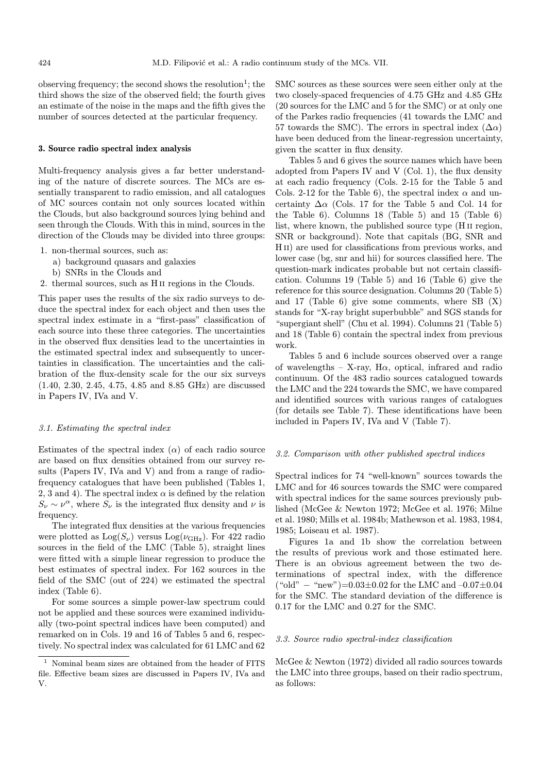observing frequency; the second shows the resolution<sup>1</sup>; the third shows the size of the observed field; the fourth gives an estimate of the noise in the maps and the fifth gives the number of sources detected at the particular frequency.

## 3. Source radio spectral index analysis

Multi-frequency analysis gives a far better understanding of the nature of discrete sources. The MCs are essentially transparent to radio emission, and all catalogues of MC sources contain not only sources located within the Clouds, but also background sources lying behind and seen through the Clouds. With this in mind, sources in the direction of the Clouds may be divided into three groups:

- 1. non-thermal sources, such as:
	- a) background quasars and galaxies
	- b) SNRs in the Clouds and
- 2. thermal sources, such as H ii regions in the Clouds.

This paper uses the results of the six radio surveys to deduce the spectral index for each object and then uses the spectral index estimate in a "first-pass" classification of each source into these three categories. The uncertainties in the observed flux densities lead to the uncertainties in the estimated spectral index and subsequently to uncertainties in classification. The uncertainties and the calibration of the flux-density scale for the our six surveys (1.40, 2.30, 2.45, 4.75, 4.85 and 8.85 GHz) are discussed in Papers IV, IVa and V.

## 3.1. Estimating the spectral index

Estimates of the spectral index  $(\alpha)$  of each radio source are based on flux densities obtained from our survey results (Papers IV, IVa and V) and from a range of radiofrequency catalogues that have been published (Tables 1, 2, 3 and 4). The spectral index  $\alpha$  is defined by the relation  $S_{\nu} \sim \nu^{\alpha}$ , where  $S_{\nu}$  is the integrated flux density and  $\nu$  is frequency.

The integrated flux densities at the various frequencies were plotted as  $\text{Log}(S_{\nu})$  versus  $\text{Log}(\nu_{\text{GHz}})$ . For 422 radio sources in the field of the LMC (Table 5), straight lines were fitted with a simple linear regression to produce the best estimates of spectral index. For 162 sources in the field of the SMC (out of 224) we estimated the spectral index (Table 6).

For some sources a simple power-law spectrum could not be applied and these sources were examined individually (two-point spectral indices have been computed) and remarked on in Cols. 19 and 16 of Tables 5 and 6, respectively. No spectral index was calculated for 61 LMC and 62 SMC sources as these sources were seen either only at the two closely-spaced frequencies of 4.75 GHz and 4.85 GHz (20 sources for the LMC and 5 for the SMC) or at only one of the Parkes radio frequencies (41 towards the LMC and 57 towards the SMC). The errors in spectral index  $(\Delta \alpha)$ have been deduced from the linear-regression uncertainty, given the scatter in flux density.

Tables 5 and 6 gives the source names which have been adopted from Papers IV and V (Col. 1), the flux density at each radio frequency (Cols. 2-15 for the Table 5 and Cols. 2-12 for the Table 6), the spectral index  $\alpha$  and uncertainty  $\Delta \alpha$  (Cols. 17 for the Table 5 and Col. 14 for the Table 6). Columns 18 (Table 5) and 15 (Table 6) list, where known, the published source type (H ii region, SNR or background). Note that capitals (BG, SNR and H<sub>II</sub>) are used for classifications from previous works, and lower case (bg, snr and hii) for sources classified here. The question-mark indicates probable but not certain classification. Columns 19 (Table 5) and 16 (Table 6) give the reference for this source designation. Columns 20 (Table 5) and 17 (Table 6) give some comments, where  $SB(X)$ stands for "X-ray bright superbubble" and SGS stands for "supergiant shell" (Chu et al. 1994). Columns 21 (Table 5) and 18 (Table 6) contain the spectral index from previous work.

Tables 5 and 6 include sources observed over a range of wavelengths – X-ray, H $\alpha$ , optical, infrared and radio continuum. Of the 483 radio sources catalogued towards the LMC and the 224 towards the SMC, we have compared and identified sources with various ranges of catalogues (for details see Table 7). These identifications have been included in Papers IV, IVa and V (Table 7).

## 3.2. Comparison with other published spectral indices

Spectral indices for 74 "well-known" sources towards the LMC and for 46 sources towards the SMC were compared with spectral indices for the same sources previously published (McGee & Newton 1972; McGee et al. 1976; Milne et al. 1980; Mills et al. 1984b; Mathewson et al. 1983, 1984, 1985; Loiseau et al. 1987).

Figures 1a and 1b show the correlation between the results of previous work and those estimated here. There is an obvious agreement between the two determinations of spectral index, with the difference  $("old" - "new") = 0.03 \pm 0.02$  for the LMC and  $-0.07 \pm 0.04$ for the SMC. The standard deviation of the difference is 0.17 for the LMC and 0.27 for the SMC.

## 3.3. Source radio spectral-index classification

McGee & Newton (1972) divided all radio sources towards the LMC into three groups, based on their radio spectrum, as follows:

<sup>1</sup> Nominal beam sizes are obtained from the header of FITS file. Effective beam sizes are discussed in Papers IV, IVa and V.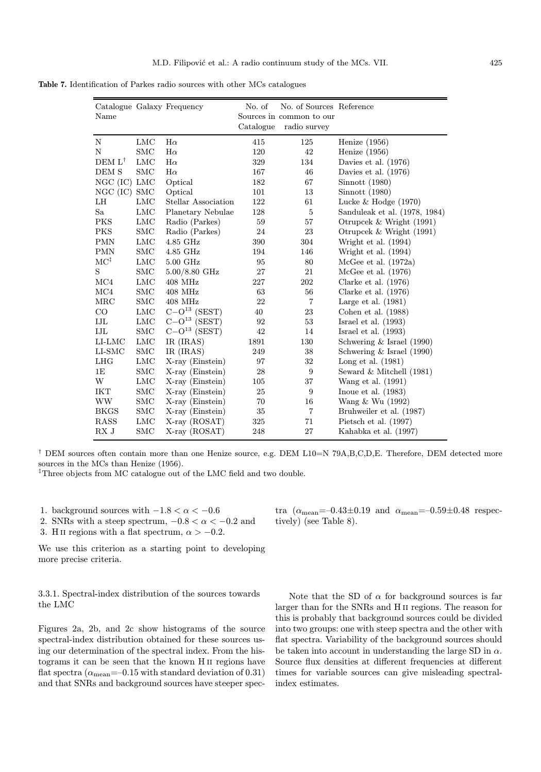Table 7. Identification of Parkes radio sources with other MCs catalogues

| Name              |            | Catalogue Galaxy Frequency | No. of<br>Catalogue | No. of Sources Reference<br>Sources in common to our<br>radio survey |                               |
|-------------------|------------|----------------------------|---------------------|----------------------------------------------------------------------|-------------------------------|
| N                 | <b>LMC</b> | $H\alpha$                  | 415                 | 125                                                                  | Henize $(1956)$               |
| N                 | <b>SMC</b> | $H\alpha$                  | 120                 | 42                                                                   | Henize $(1956)$               |
| $DEM L^{\dagger}$ | <b>LMC</b> | $H\alpha$                  | 329                 | 134                                                                  | Davies et al. (1976)          |
| DEM S             | <b>SMC</b> | $H\alpha$                  | 167                 | 46                                                                   | Davies et al. $(1976)$        |
| $NGC$ (IC) $LMC$  |            | Optical                    | 182                 | 67                                                                   | Simnott(1980)                 |
| NGC (IC) SMC      |            | Optical                    | 101                 | 13                                                                   | $S$ innott $(1980)$           |
| LH                | <b>LMC</b> | Stellar Association        | 122                 | 61                                                                   | Lucke $& Hodge (1970)$        |
| Sa                | <b>LMC</b> | Planetary Nebulae          | 128                 | 5                                                                    | Sanduleak et al. (1978, 1984) |
| <b>PKS</b>        | <b>LMC</b> | Radio (Parkes)             | 59                  | 57                                                                   | Otrupcek & Wright (1991)      |
| PKS               | <b>SMC</b> | Radio (Parkes)             | 24                  | 23                                                                   | Otrupcek & Wright $(1991)$    |
| PMN               | <b>LMC</b> | 4.85 GHz                   | 390                 | 304                                                                  | Wright et al. (1994)          |
| $\rm PMN$         | <b>SMC</b> | 4.85 GHz                   | 194                 | 146                                                                  | Wright et al. $(1994)$        |
| $MC^{\ddagger}$   | LMC        | 5.00 GHz                   | 95                  | 80                                                                   | McGee et al. $(1972a)$        |
| S                 | <b>SMC</b> | $5.00/8.80$ GHz            | 27                  | 21                                                                   | McGee et al. $(1976)$         |
| $\rm MC4$         | <b>LMC</b> | $408$ MHz                  | 227                 | 202                                                                  | Clarke et al. $(1976)$        |
| MC4               | <b>SMC</b> | 408 MHz                    | 63                  | 56                                                                   | Clarke et al. $(1976)$        |
| MRC               | <b>SMC</b> | $408$ MHz                  | 22                  | $\overline{7}$                                                       | Large et al. $(1981)$         |
| $\rm CO$          | <b>LMC</b> | $C-O13$ (SEST)             | 40                  | 23                                                                   | Cohen et al. $(1988)$         |
| IJL               | LMC        | $C-O13$ (SEST)             | 92                  | 53                                                                   | Israel et al. $(1993)$        |
| IJL               | <b>SMC</b> | $C-O13$ (SEST)             | 42                  | 14                                                                   | Israel et al. $(1993)$        |
| LI-LMC            | <b>LMC</b> | IR (IRAS)                  | 1891                | 130                                                                  | Schwering $&$ Israel (1990)   |
| $LI-SMC$          | SMC        | IR (IRAS)                  | 249                 | 38                                                                   | Schwering & Israel (1990)     |
| LHG               | <b>LMC</b> | X-ray (Einstein)           | 97                  | 32                                                                   | Long et al. $(1981)$          |
| 1E                | <b>SMC</b> | X-ray (Einstein)           | 28                  | $\boldsymbol{9}$                                                     | Seward $&$ Mitchell $(1981)$  |
| W                 | <b>LMC</b> | X-ray (Einstein)           | 105                 | 37                                                                   | Wang et al. (1991)            |
| <b>IKT</b>        | <b>SMC</b> | $X-ray$ (Einstein)         | 25                  | 9                                                                    | Inoue et al. $(1983)$         |
| WW                | SMC        | $X-ray$ (Einstein)         | 70                  | 16                                                                   | Wang $\&$ Wu (1992)           |
| <b>BKGS</b>       | <b>SMC</b> | X-ray (Einstein)           | 35                  | $\overline{7}$                                                       | Bruhweiler et al. (1987)      |
| <b>RASS</b>       | LMC        | $X-ray (ROSAT)$            | 325                 | 71                                                                   | Pietsch et al. $(1997)$       |
| RX J              | $\rm SMC$  | X-ray (ROSAT)              | 248                 | 27                                                                   | Kahabka et al. (1997)         |

† DEM sources often contain more than one Henize source, e.g. DEM L10=N 79A,B,C,D,E. Therefore, DEM detected more sources in the MCs than Henize (1956).

‡Three objects from MC catalogue out of the LMC field and two double.

1. background sources with  $-1.8 < \alpha < -0.6$ 

2. SNRs with a steep spectrum,  $-0.8 < \alpha < -0.2$  and

3. H II regions with a flat spectrum,  $\alpha > -0.2$ .

We use this criterion as a starting point to developing more precise criteria.

3.3.1. Spectral-index distribution of the sources towards the LMC

Figures 2a, 2b, and 2c show histograms of the source spectral-index distribution obtained for these sources using our determination of the spectral index. From the histograms it can be seen that the known H ii regions have flat spectra  $(\alpha_{\text{mean}}=-0.15$  with standard deviation of  $0.31)$ and that SNRs and background sources have steeper spectra  $(\alpha_{\text{mean}}=-0.43\pm0.19 \text{ and } \alpha_{\text{mean}}=-0.59\pm0.48 \text{ respectively})$ tively) (see Table 8).

Note that the SD of  $\alpha$  for background sources is far larger than for the SNRs and H ii regions. The reason for this is probably that background sources could be divided into two groups: one with steep spectra and the other with flat spectra. Variability of the background sources should be taken into account in understanding the large SD in  $\alpha$ . Source flux densities at different frequencies at different times for variable sources can give misleading spectralindex estimates.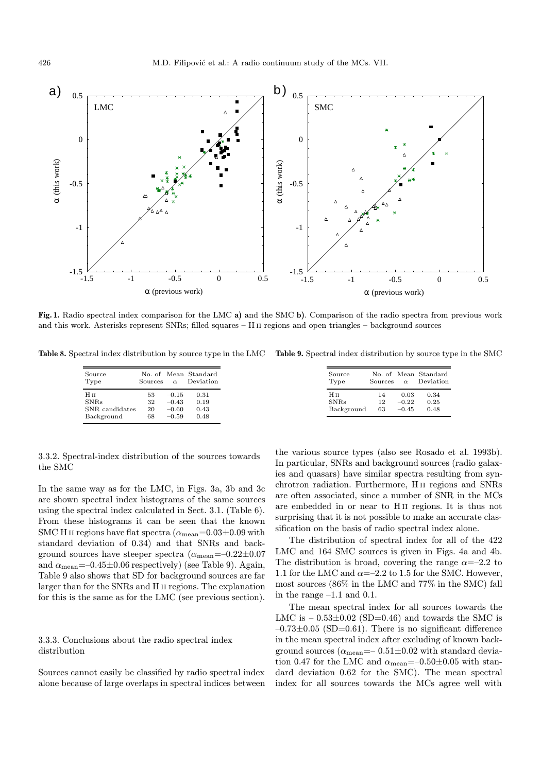

Fig. 1. Radio spectral index comparison for the LMC a) and the SMC b). Comparison of the radio spectra from previous work and this work. Asterisks represent SNRs; filled squares – H ii regions and open triangles – background sources

Table 8. Spectral index distribution by source type in the LMC Table 9. Spectral index distribution by source type in the SMC

|                       | Sources | $\alpha$ | No. of Mean Standard<br>Deviation | Source<br>Type | No. of Mean Standard<br>Sources | $\alpha$ | Deviation |
|-----------------------|---------|----------|-----------------------------------|----------------|---------------------------------|----------|-----------|
| 53<br>0.31<br>$-0.15$ |         |          |                                   | Нп             | 14                              | 0.03     | 0.34      |
| 32<br>$-0.43$<br>0.19 |         |          |                                   | SNRs           | 12                              | $-0.22$  | 0.25      |
| 20<br>0.43<br>$-0.60$ |         |          |                                   | Background     | 63                              | $-0.45$  | 0.48      |
| 68<br>0.48<br>$-0.59$ |         |          |                                   |                |                                 |          |           |

3.3.2. Spectral-index distribution of the sources towards the SMC

In the same way as for the LMC, in Figs. 3a, 3b and 3c are shown spectral index histograms of the same sources using the spectral index calculated in Sect. 3.1. (Table 6). From these histograms it can be seen that the known SMC H II regions have flat spectra  $(\alpha_{\text{mean}}=0.03\pm0.09 \text{ with}$ standard deviation of 0.34) and that SNRs and background sources have steeper spectra  $(\alpha_{\text{mean}}=-0.22\pm0.07)$ and  $\alpha_{\text{mean}} = -0.45 \pm 0.06$  respectively) (see Table 9). Again, Table 9 also shows that SD for background sources are far larger than for the SNRs and H ii regions. The explanation for this is the same as for the LMC (see previous section).

# 3.3.3. Conclusions about the radio spectral index distribution

Sources cannot easily be classified by radio spectral index alone because of large overlaps in spectral indices between

the various source types (also see Rosado et al. 1993b). In particular, SNRs and background sources (radio galaxies and quasars) have similar spectra resulting from synchrotron radiation. Furthermore, H ii regions and SNRs are often associated, since a number of SNR in the MCs are embedded in or near to H ii regions. It is thus not surprising that it is not possible to make an accurate classification on the basis of radio spectral index alone.

The distribution of spectral index for all of the 422 LMC and 164 SMC sources is given in Figs. 4a and 4b. The distribution is broad, covering the range  $\alpha = -2.2$  to 1.1 for the LMC and  $\alpha = -2.2$  to 1.5 for the SMC. However, most sources (86% in the LMC and 77% in the SMC) fall in the range –1.1 and 0.1.

The mean spectral index for all sources towards the LMC is  $-0.53\pm0.02$  (SD=0.46) and towards the SMC is  $-0.73\pm0.05$  (SD=0.61). There is no significant difference in the mean spectral index after excluding of known background sources ( $\alpha_{\text{mean}} = -0.51 \pm 0.02$  with standard deviation 0.47 for the LMC and  $\alpha_{\rm mean}{=}{-}0.50{\pm}0.05$  with standard deviation 0.62 for the SMC). The mean spectral index for all sources towards the MCs agree well with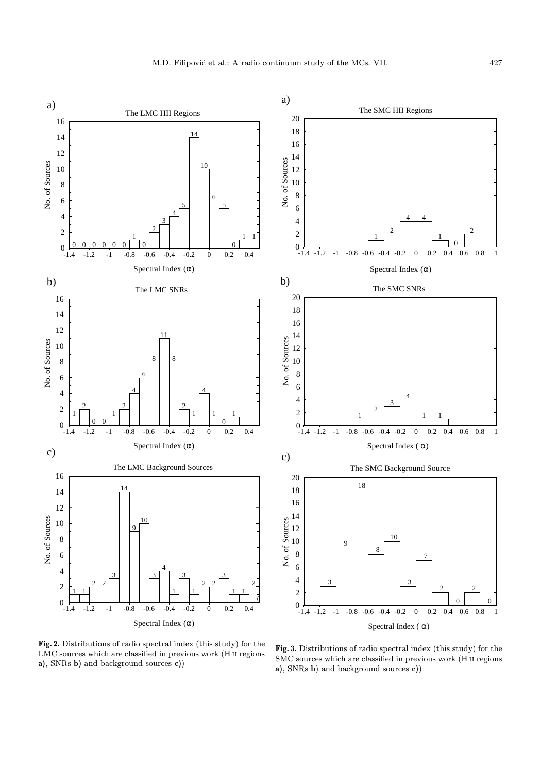

Fig. 2. Distributions of radio spectral index (this study) for the LMC sources which are classified in previous work (H ii regions a), SNRs b) and background sources c))

Fig. 3. Distributions of radio spectral index (this study) for the SMC sources which are classified in previous work (H ii regions a), SNRs b) and background sources c))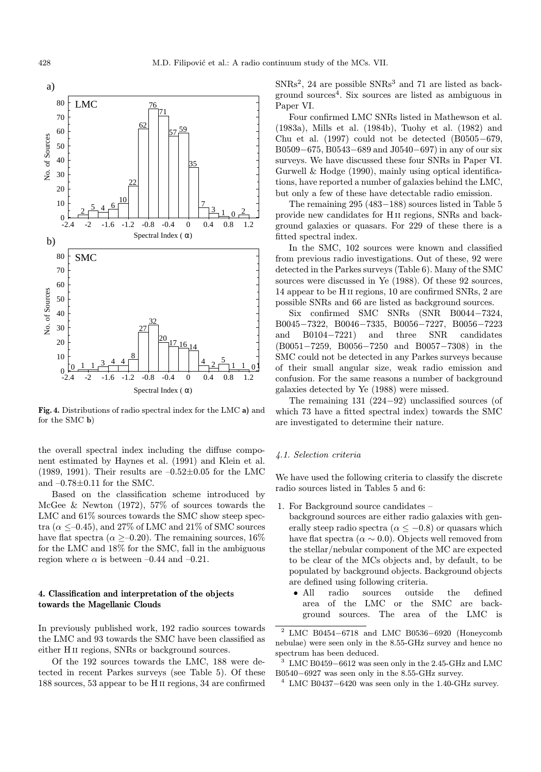

Fig. 4. Distributions of radio spectral index for the LMC a) and for the SMC b)

the overall spectral index including the diffuse component estimated by Haynes et al. (1991) and Klein et al. (1989, 1991). Their results are  $-0.52\pm0.05$  for the LMC and  $-0.78\pm0.11$  for the SMC.

Based on the classification scheme introduced by McGee & Newton (1972), 57% of sources towards the LMC and  $61\%$  sources towards the SMC show steep spectra ( $\alpha \leq -0.45$ ), and 27% of LMC and 21% of SMC sources have flat spectra ( $\alpha$  >–0.20). The remaining sources, 16% for the LMC and 18% for the SMC, fall in the ambiguous region where  $\alpha$  is between –0.44 and –0.21.

# 4. Classification and interpretation of the objects towards the Magellanic Clouds

In previously published work, 192 radio sources towards the LMC and 93 towards the SMC have been classified as either H ii regions, SNRs or background sources.

Of the 192 sources towards the LMC, 188 were detected in recent Parkes surveys (see Table 5). Of these 188 sources, 53 appear to be H ii regions, 34 are confirmed

 $SNRs<sup>2</sup>$ , 24 are possible  $SNRs<sup>3</sup>$  and 71 are listed as background sources<sup>4</sup>. Six sources are listed as ambiguous in Paper VI.

Four confirmed LMC SNRs listed in Mathewson et al. (1983a), Mills et al. (1984b), Tuohy et al. (1982) and Chu et al. (1997) could not be detected (B0505−679, B0509−675, B0543−689 and J0540−697) in any of our six surveys. We have discussed these four SNRs in Paper VI. Gurwell & Hodge (1990), mainly using optical identifications, have reported a number of galaxies behind the LMC, but only a few of these have detectable radio emission.

The remaining 295 (483−188) sources listed in Table 5 provide new candidates for H ii regions, SNRs and background galaxies or quasars. For 229 of these there is a fitted spectral index.

In the SMC, 102 sources were known and classified from previous radio investigations. Out of these, 92 were detected in the Parkes surveys (Table 6). Many of the SMC sources were discussed in Ye (1988). Of these 92 sources, 14 appear to be H ii regions, 10 are confirmed SNRs, 2 are possible SNRs and 66 are listed as background sources.

Six confirmed SMC SNRs (SNR B0044−7324, B0045−7322, B0046−7335, B0056−7227, B0056−7223 and B0104−7221) and three SNR candidates (B0051−7259, B0056−7250 and B0057−7308) in the SMC could not be detected in any Parkes surveys because of their small angular size, weak radio emission and confusion. For the same reasons a number of background galaxies detected by Ye (1988) were missed.

The remaining 131 (224−92) unclassified sources (of which 73 have a fitted spectral index) towards the SMC are investigated to determine their nature.

## 4.1. Selection criteria

We have used the following criteria to classify the discrete radio sources listed in Tables 5 and 6:

- 1. For Background source candidates
	- background sources are either radio galaxies with generally steep radio spectra ( $\alpha \leq -0.8$ ) or quasars which have flat spectra ( $\alpha \sim 0.0$ ). Objects well removed from the stellar/nebular component of the MC are expected to be clear of the MCs objects and, by default, to be populated by background objects. Background objects are defined using following criteria.
		- All radio sources outside the defined area of the LMC or the SMC are background sources. The area of the LMC is

 $^4\,$  LMC B0437 $-6420$  was seen only in the 1.40-GHz survey.

 $^2$  LMC B0454 $-6718$  and LMC B0536 $-6920$  (Honeycomb nebulae) were seen only in the 8.55-GHz survey and hence no spectrum has been deduced.

<sup>3</sup> LMC B0459−6612 was seen only in the 2.45-GHz and LMC B0540−6927 was seen only in the 8.55-GHz survey.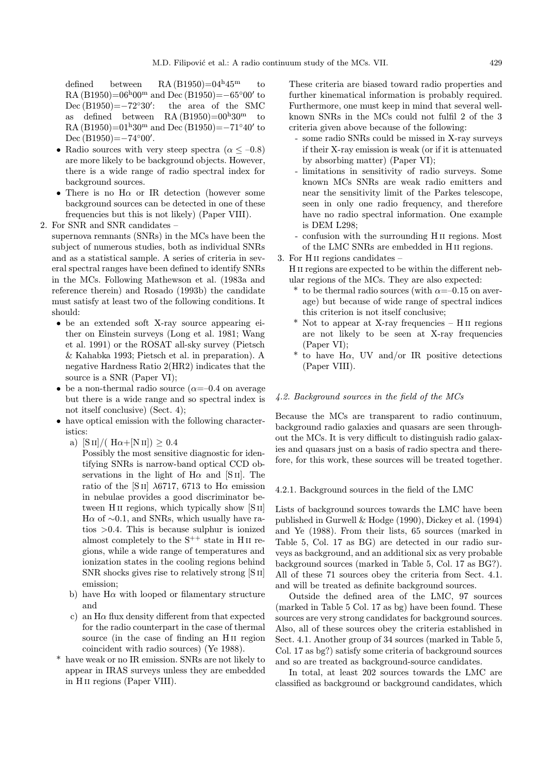defined between RA  $(B1950)=04<sup>h</sup>45<sup>m</sup>$  to RA (B1950)= $06^{h}00^{m}$  and Dec (B1950)= $-65^{\circ}00'$  to Dec  $(B1950)=-72°30'$ : : the area of the SMC as defined between  $RA(B1950)=00^{h}30^{m}$  to RA (B1950)= $01^{\text{h}}30^{\text{m}}$  and Dec (B1950)= $-71^{\circ}40'$  to Dec  $(B1950) = -74°00'$ .

- Radio sources with very steep spectra  $(\alpha \le -0.8)$ are more likely to be background objects. However, there is a wide range of radio spectral index for background sources.
- There is no  $H\alpha$  or IR detection (however some background sources can be detected in one of these frequencies but this is not likely) (Paper VIII).
- 2. For SNR and SNR candidates –

supernova remnants (SNRs) in the MCs have been the subject of numerous studies, both as individual SNRs and as a statistical sample. A series of criteria in several spectral ranges have been defined to identify SNRs in the MCs. Following Mathewson et al. (1983a and reference therein) and Rosado (1993b) the candidate must satisfy at least two of the following conditions. It should:

- be an extended soft X-ray source appearing either on Einstein surveys (Long et al. 1981; Wang et al. 1991) or the ROSAT all-sky survey (Pietsch & Kahabka 1993; Pietsch et al. in preparation). A negative Hardness Ratio 2(HR2) indicates that the source is a SNR (Paper VI);
- be a non-thermal radio source  $(\alpha=-0.4$  on average but there is a wide range and so spectral index is not itself conclusive) (Sect. 4);
- have optical emission with the following characteristics:
	- a)  $[S II]/(H\alpha+[N II]) \geq 0.4$ 
		- Possibly the most sensitive diagnostic for identifying SNRs is narrow-band optical CCD observations in the light of  $H\alpha$  and [S II]. The ratio of the [S<sub>II</sub>]  $\lambda$ 6717, 6713 to H $\alpha$  emission in nebulae provides a good discriminator between H<sub>II</sub> regions, which typically show [S<sub>II</sub>]  $H\alpha$  of ~0.1, and SNRs, which usually have ratios >0.4. This is because sulphur is ionized almost completely to the  $S^{++}$  state in H<sub>II</sub> regions, while a wide range of temperatures and ionization states in the cooling regions behind SNR shocks gives rise to relatively strong [S ii] emission;
	- b) have  $H\alpha$  with looped or filamentary structure and
	- c) an  $H\alpha$  flux density different from that expected for the radio counterpart in the case of thermal source (in the case of finding an H<sub>II</sub> region coincident with radio sources) (Ye 1988).
- have weak or no IR emission. SNRs are not likely to appear in IRAS surveys unless they are embedded in H<sub>II</sub> regions (Paper VIII).

These criteria are biased toward radio properties and further kinematical information is probably required. Furthermore, one must keep in mind that several wellknown SNRs in the MCs could not fulfil 2 of the 3 criteria given above because of the following:

- some radio SNRs could be missed in X-ray surveys if their X-ray emission is weak (or if it is attenuated by absorbing matter) (Paper VI);
- limitations in sensitivity of radio surveys. Some known MCs SNRs are weak radio emitters and near the sensitivity limit of the Parkes telescope, seen in only one radio frequency, and therefore have no radio spectral information. One example is DEM L298;
- confusion with the surrounding H ii regions. Most of the LMC SNRs are embedded in H ii regions.

3. For H ii regions candidates –

- H ii regions are expected to be within the different nebular regions of the MCs. They are also expected:
	- \* to be thermal radio sources (with  $\alpha = -0.15$  on average) but because of wide range of spectral indices this criterion is not itself conclusive;
	- \* Not to appear at X-ray frequencies H ii regions are not likely to be seen at X-ray frequencies (Paper VI);
	- $*$  to have H $\alpha$ , UV and/or IR positive detections (Paper VIII).

# 4.2. Background sources in the field of the MCs

Because the MCs are transparent to radio continuum, background radio galaxies and quasars are seen throughout the MCs. It is very difficult to distinguish radio galaxies and quasars just on a basis of radio spectra and therefore, for this work, these sources will be treated together.

#### 4.2.1. Background sources in the field of the LMC

Lists of background sources towards the LMC have been published in Gurwell & Hodge (1990), Dickey et al. (1994) and Ye (1988). From their lists, 65 sources (marked in Table 5, Col. 17 as BG) are detected in our radio surveys as background, and an additional six as very probable background sources (marked in Table 5, Col. 17 as BG?). All of these 71 sources obey the criteria from Sect. 4.1. and will be treated as definite background sources.

Outside the defined area of the LMC, 97 sources (marked in Table 5 Col. 17 as bg) have been found. These sources are very strong candidates for background sources. Also, all of these sources obey the criteria established in Sect. 4.1. Another group of 34 sources (marked in Table 5, Col. 17 as bg?) satisfy some criteria of background sources and so are treated as background-source candidates.

In total, at least 202 sources towards the LMC are classified as background or background candidates, which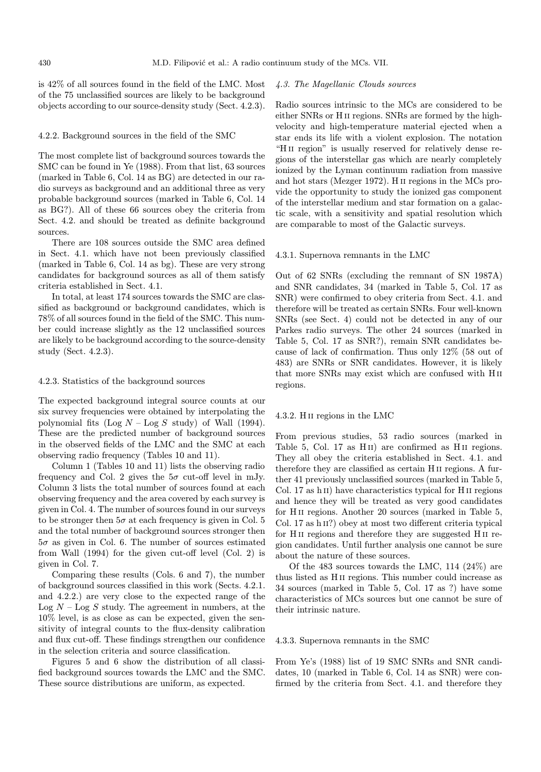is 42% of all sources found in the field of the LMC. Most of the 75 unclassified sources are likely to be background objects according to our source-density study (Sect. 4.2.3).

#### 4.2.2. Background sources in the field of the SMC

The most complete list of background sources towards the SMC can be found in Ye (1988). From that list, 63 sources (marked in Table 6, Col. 14 as BG) are detected in our radio surveys as background and an additional three as very probable background sources (marked in Table 6, Col. 14 as BG?). All of these 66 sources obey the criteria from Sect. 4.2. and should be treated as definite background sources.

There are 108 sources outside the SMC area defined in Sect. 4.1. which have not been previously classified (marked in Table 6, Col. 14 as bg). These are very strong candidates for background sources as all of them satisfy criteria established in Sect. 4.1.

In total, at least 174 sources towards the SMC are classified as background or background candidates, which is 78% of all sources found in the field of the SMC. This number could increase slightly as the 12 unclassified sources are likely to be background according to the source-density study (Sect. 4.2.3).

#### 4.2.3. Statistics of the background sources

The expected background integral source counts at our six survey frequencies were obtained by interpolating the polynomial fits  $(Log N - Log S \, study)$  of Wall  $(1994)$ . These are the predicted number of background sources in the observed fields of the LMC and the SMC at each observing radio frequency (Tables 10 and 11).

Column 1 (Tables 10 and 11) lists the observing radio frequency and Col. 2 gives the  $5\sigma$  cut-off level in mJy. Column 3 lists the total number of sources found at each observing frequency and the area covered by each survey is given in Col. 4. The number of sources found in our surveys to be stronger then  $5\sigma$  at each frequency is given in Col. 5 and the total number of background sources stronger then  $5\sigma$  as given in Col. 6. The number of sources estimated from Wall (1994) for the given cut-off level (Col. 2) is given in Col. 7.

Comparing these results (Cols. 6 and 7), the number of background sources classified in this work (Sects. 4.2.1. and 4.2.2.) are very close to the expected range of the Log  $N -$ Log  $S$  study. The agreement in numbers, at the 10% level, is as close as can be expected, given the sensitivity of integral counts to the flux-density calibration and flux cut-off. These findings strengthen our confidence in the selection criteria and source classification.

Figures 5 and 6 show the distribution of all classified background sources towards the LMC and the SMC. These source distributions are uniform, as expected.

#### 4.3. The Magellanic Clouds sources

Radio sources intrinsic to the MCs are considered to be either SNRs or H ii regions. SNRs are formed by the highvelocity and high-temperature material ejected when a star ends its life with a violent explosion. The notation "H<sub>II</sub> region" is usually reserved for relatively dense regions of the interstellar gas which are nearly completely ionized by the Lyman continuum radiation from massive and hot stars (Mezger 1972). H ii regions in the MCs provide the opportunity to study the ionized gas component of the interstellar medium and star formation on a galactic scale, with a sensitivity and spatial resolution which are comparable to most of the Galactic surveys.

#### 4.3.1. Supernova remnants in the LMC

Out of 62 SNRs (excluding the remnant of SN 1987A) and SNR candidates, 34 (marked in Table 5, Col. 17 as SNR) were confirmed to obey criteria from Sect. 4.1. and therefore will be treated as certain SNRs. Four well-known SNRs (see Sect. 4) could not be detected in any of our Parkes radio surveys. The other 24 sources (marked in Table 5, Col. 17 as SNR?), remain SNR candidates because of lack of confirmation. Thus only 12% (58 out of 483) are SNRs or SNR candidates. However, it is likely that more SNRs may exist which are confused with Hii regions.

#### 4.3.2. H ii regions in the LMC

From previous studies, 53 radio sources (marked in Table 5, Col. 17 as H<sub>II</sub>) are confirmed as H<sub>II</sub> regions. They all obey the criteria established in Sect. 4.1. and therefore they are classified as certain H ii regions. A further 41 previously unclassified sources (marked in Table 5, Col. 17 as h<sub>II</sub>) have characteristics typical for H<sub>II</sub> regions and hence they will be treated as very good candidates for H<sub>II</sub> regions. Another 20 sources (marked in Table 5, Col. 17 as h II?) obey at most two different criteria typical for H<sub>II</sub> regions and therefore they are suggested H<sub>II</sub> region candidates. Until further analysis one cannot be sure about the nature of these sources.

Of the 483 sources towards the LMC, 114 (24%) are thus listed as H ii regions. This number could increase as 34 sources (marked in Table 5, Col. 17 as ?) have some characteristics of MCs sources but one cannot be sure of their intrinsic nature.

#### 4.3.3. Supernova remnants in the SMC

From Ye's (1988) list of 19 SMC SNRs and SNR candidates, 10 (marked in Table 6, Col. 14 as SNR) were confirmed by the criteria from Sect. 4.1. and therefore they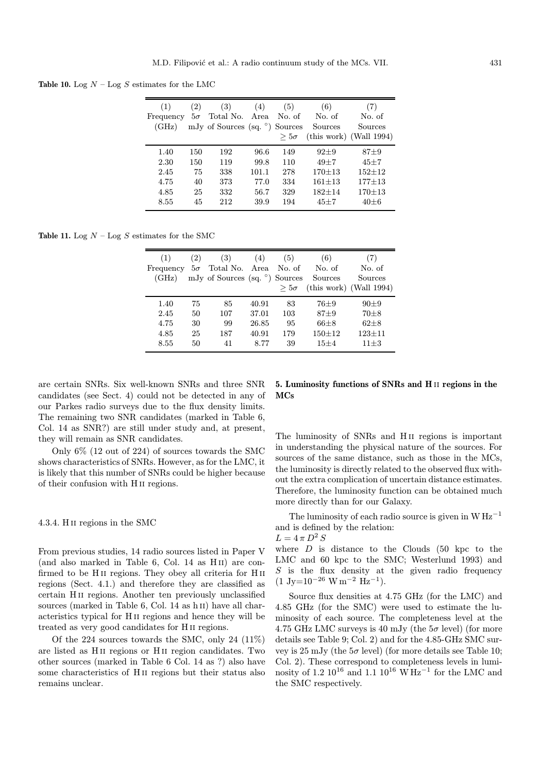Table 10. Log  $N -$  Log  $S$  estimates for the LMC

| (1)<br>Frequency<br>(GHz) | (2)<br>$5\sigma$ | (3)<br>Total No. Area<br>mJy of Sources (sq. $\degree$ ) | (4)   | (5)<br>No. of<br>Sources<br>$> 5\sigma$ | (6)<br>No. of<br>Sources | (7)<br>No. of<br>Sources<br>$(this work)$ (Wall 1994) |
|---------------------------|------------------|----------------------------------------------------------|-------|-----------------------------------------|--------------------------|-------------------------------------------------------|
| 1.40                      | 150              | 192                                                      | 96.6  | 149                                     | $92 + 9$                 | $87 \pm 9$                                            |
| 2.30                      | 150              | 119                                                      | 99.8  | 110                                     | $49 + 7$                 | $45 \pm 7$                                            |
| 2.45                      | 75               | 338                                                      | 101.1 | 278                                     | $170 + 13$               | $152 + 12$                                            |
| 4.75                      | 40               | 373                                                      | 77.0  | 334                                     | $161 + 13$               | $177 \pm 13$                                          |
| 4.85                      | 25               | 332                                                      | 56.7  | 329                                     | $182 + 14$               | $170 + 13$                                            |
| 8.55                      | 45               | 212                                                      | 39.9  | 194                                     | $45 + 7$                 | $40 + 6$                                              |

Table 11. Log  $N -$  Log  $S$  estimates for the SMC

| (1)<br>(GHz) | (2) | (3)<br>Frequency $5\sigma$ Total No. Area<br>mJy of Sources (sq. °) Sources | (4)   | (5)<br>No. of<br>$> 5\sigma$ | (6)<br>No. of<br>Sources | (7)<br>No. of<br>Sources<br>$(this work)$ (Wall 1994) |
|--------------|-----|-----------------------------------------------------------------------------|-------|------------------------------|--------------------------|-------------------------------------------------------|
| 1.40         | 75  | 85                                                                          | 40.91 | 83                           | $76 + 9$                 | $90 + 9$                                              |
| 2.45         | 50  | 107                                                                         | 37.01 | 103                          | $87 + 9$                 | $70 + 8$                                              |
| 4.75         | 30  | 99                                                                          | 26.85 | 95                           | $66 + 8$                 | $62 + 8$                                              |
| 4.85         | 25  | 187                                                                         | 40.91 | 179                          | $150 + 12$               | $123 \pm 11$                                          |
| 8.55         | 50  | 41                                                                          | 8.77  | 39                           | $15 + 4$                 | $11 + 3$                                              |

are certain SNRs. Six well-known SNRs and three SNR candidates (see Sect. 4) could not be detected in any of our Parkes radio surveys due to the flux density limits. The remaining two SNR candidates (marked in Table 6, Col. 14 as SNR?) are still under study and, at present, they will remain as SNR candidates.

Only 6% (12 out of 224) of sources towards the SMC shows characteristics of SNRs. However, as for the LMC, it is likely that this number of SNRs could be higher because of their confusion with H ii regions.

4.3.4. H ii regions in the SMC

From previous studies, 14 radio sources listed in Paper V (and also marked in Table 6, Col. 14 as H<sub>II</sub>) are confirmed to be H<sub>II</sub> regions. They obey all criteria for H<sub>II</sub> regions (Sect. 4.1.) and therefore they are classified as certain H ii regions. Another ten previously unclassified sources (marked in Table 6, Col. 14 as h II) have all characteristics typical for H ii regions and hence they will be treated as very good candidates for H ii regions.

Of the 224 sources towards the SMC, only 24 (11%) are listed as H ii regions or H ii region candidates. Two other sources (marked in Table 6 Col. 14 as ?) also have some characteristics of H ii regions but their status also remains unclear.

# 5. Luminosity functions of SNRs and H ii regions in the MCs

The luminosity of SNRs and H<sub>II</sub> regions is important in understanding the physical nature of the sources. For sources of the same distance, such as those in the MCs, the luminosity is directly related to the observed flux without the extra complication of uncertain distance estimates. Therefore, the luminosity function can be obtained much more directly than for our Galaxy.

The luminosity of each radio source is given in  $W Hz^{-1}$ and is defined by the relation:

$$
L=4\,\pi\,D^2\,S
$$

where  $D$  is distance to the Clouds (50 kpc to the LMC and 60 kpc to the SMC; Westerlund 1993) and  $S$  is the flux density at the given radio frequency  $(1 \text{ Jy}=10^{-26} \text{ W m}^{-2} \text{ Hz}^{-1}).$ 

Source flux densities at 4.75 GHz (for the LMC) and 4.85 GHz (for the SMC) were used to estimate the luminosity of each source. The completeness level at the 4.75 GHz LMC surveys is 40 mJy (the  $5\sigma$  level) (for more details see Table 9; Col. 2) and for the 4.85-GHz SMC survey is 25 mJy (the  $5\sigma$  level) (for more details see Table 10; Col. 2). These correspond to completeness levels in luminosity of 1.2  $10^{16}$  and 1.1  $10^{16}$  W Hz<sup>-1</sup> for the LMC and the SMC respectively.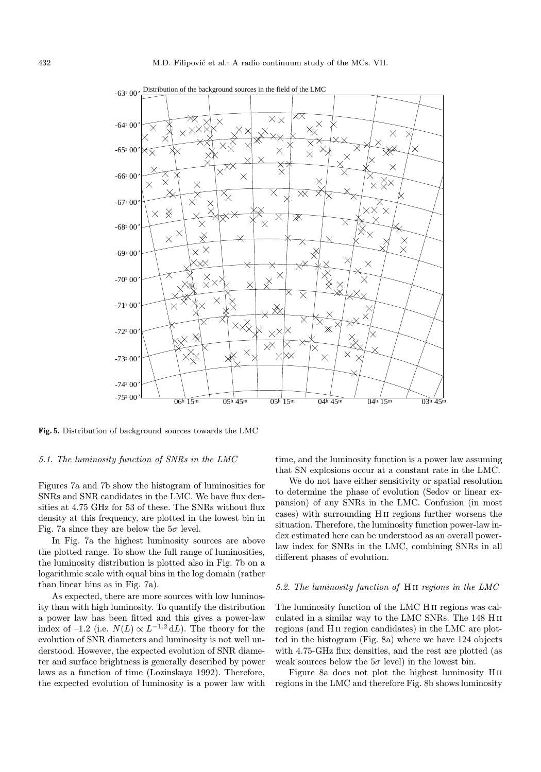

 Distribution of the background sources in the field of the LMC  $-63000$ 

Fig. 5. Distribution of background sources towards the LMC

#### 5.1. The luminosity function of SNRs in the LMC

Figures 7a and 7b show the histogram of luminosities for SNRs and SNR candidates in the LMC. We have flux densities at 4.75 GHz for 53 of these. The SNRs without flux density at this frequency, are plotted in the lowest bin in Fig. 7a since they are below the  $5\sigma$  level.

In Fig. 7a the highest luminosity sources are above the plotted range. To show the full range of luminosities, the luminosity distribution is plotted also in Fig. 7b on a logarithmic scale with equal bins in the log domain (rather than linear bins as in Fig. 7a).

As expected, there are more sources with low luminosity than with high luminosity. To quantify the distribution a power law has been fitted and this gives a power-law index of –1.2 (i.e.  $N(L) \propto L^{-1.2} dL$ ). The theory for the evolution of SNR diameters and luminosity is not well understood. However, the expected evolution of SNR diameter and surface brightness is generally described by power laws as a function of time (Lozinskaya 1992). Therefore, the expected evolution of luminosity is a power law with time, and the luminosity function is a power law assuming that SN explosions occur at a constant rate in the LMC.

We do not have either sensitivity or spatial resolution to determine the phase of evolution (Sedov or linear expansion) of any SNRs in the LMC. Confusion (in most cases) with surrounding H ii regions further worsens the situation. Therefore, the luminosity function power-law index estimated here can be understood as an overall powerlaw index for SNRs in the LMC, combining SNRs in all different phases of evolution.

#### 5.2. The luminosity function of H ii regions in the LMC

The luminosity function of the LMC H ii regions was calculated in a similar way to the LMC SNRs. The 148 H ii regions (and H ii region candidates) in the LMC are plotted in the histogram (Fig. 8a) where we have 124 objects with 4.75-GHz flux densities, and the rest are plotted (as weak sources below the  $5\sigma$  level) in the lowest bin.

Figure 8a does not plot the highest luminosity Hii regions in the LMC and therefore Fig. 8b shows luminosity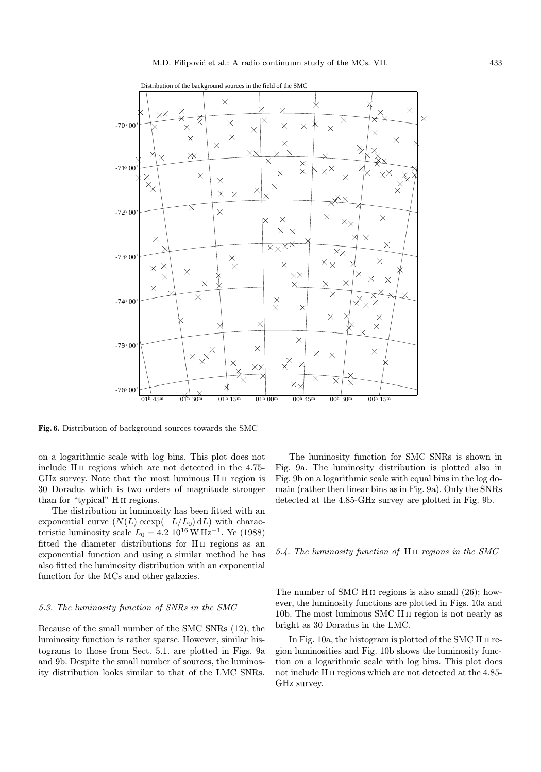

Distribution of the background sources in the field of the SMC

Fig. 6. Distribution of background sources towards the SMC

on a logarithmic scale with log bins. This plot does not include H ii regions which are not detected in the 4.75- GHz survey. Note that the most luminous H ii region is 30 Doradus which is two orders of magnitude stronger than for "typical" H<sub>II</sub> regions.

The distribution in luminosity has been fitted with an exponential curve  $(N(L) \propto exp(-L/L_0) dL)$  with characteristic luminosity scale  $L_0 = 4.2 \; 10^{16} \, \text{W} \, \text{Hz}^{-1}$ . Ye (1988) fitted the diameter distributions for H ii regions as an exponential function and using a similar method he has also fitted the luminosity distribution with an exponential function for the MCs and other galaxies.

#### 5.3. The luminosity function of SNRs in the SMC

Because of the small number of the SMC SNRs (12), the luminosity function is rather sparse. However, similar histograms to those from Sect. 5.1. are plotted in Figs. 9a and 9b. Despite the small number of sources, the luminosity distribution looks similar to that of the LMC SNRs.

The luminosity function for SMC SNRs is shown in Fig. 9a. The luminosity distribution is plotted also in Fig. 9b on a logarithmic scale with equal bins in the log domain (rather then linear bins as in Fig. 9a). Only the SNRs detected at the 4.85-GHz survey are plotted in Fig. 9b.

#### 5.4. The luminosity function of H ii regions in the SMC

The number of SMC H<sub>II</sub> regions is also small  $(26)$ ; however, the luminosity functions are plotted in Figs. 10a and 10b. The most luminous SMC H ii region is not nearly as bright as 30 Doradus in the LMC.

In Fig. 10a, the histogram is plotted of the SMC H ii region luminosities and Fig. 10b shows the luminosity function on a logarithmic scale with log bins. This plot does not include H ii regions which are not detected at the 4.85- GHz survey.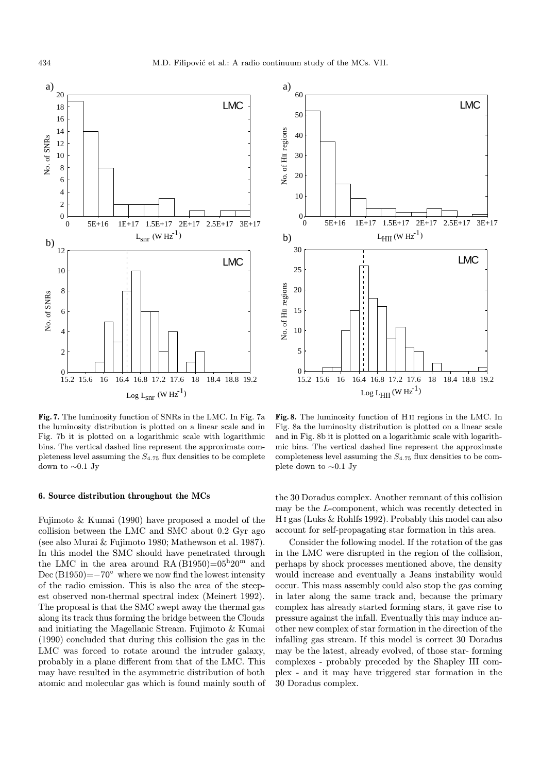

Fig. 7. The luminosity function of SNRs in the LMC. In Fig. 7a the luminosity distribution is plotted on a linear scale and in Fig. 7b it is plotted on a logarithmic scale with logarithmic bins. The vertical dashed line represent the approximate completeness level assuming the  $S_{4.75}$  flux densities to be complete down to ∼0.1 Jy

# 6. Source distribution throughout the MCs

Fujimoto & Kumai (1990) have proposed a model of the collision between the LMC and SMC about 0.2 Gyr ago (see also Murai & Fujimoto 1980; Mathewson et al. 1987). In this model the SMC should have penetrated through the LMC in the area around RA  $(B1950)=05^{\mathrm{h}}20^{\mathrm{m}}$  and Dec  $(B1950)=-70°$  where we now find the lowest intensity of the radio emission. This is also the area of the steepest observed non-thermal spectral index (Meinert 1992). The proposal is that the SMC swept away the thermal gas along its track thus forming the bridge between the Clouds and initiating the Magellanic Stream. Fujimoto & Kumai (1990) concluded that during this collision the gas in the LMC was forced to rotate around the intruder galaxy, probably in a plane different from that of the LMC. This may have resulted in the asymmetric distribution of both atomic and molecular gas which is found mainly south of



Fig. 8. The luminosity function of H ii regions in the LMC. In Fig. 8a the luminosity distribution is plotted on a linear scale and in Fig. 8b it is plotted on a logarithmic scale with logarithmic bins. The vertical dashed line represent the approximate completeness level assuming the  $S_{4.75}$  flux densities to be complete down to ∼0.1 Jy

the 30 Doradus complex. Another remnant of this collision may be the L-component, which was recently detected in H i gas (Luks & Rohlfs 1992). Probably this model can also account for self-propagating star formation in this area.

Consider the following model. If the rotation of the gas in the LMC were disrupted in the region of the collision, perhaps by shock processes mentioned above, the density would increase and eventually a Jeans instability would occur. This mass assembly could also stop the gas coming in later along the same track and, because the primary complex has already started forming stars, it gave rise to pressure against the infall. Eventually this may induce another new complex of star formation in the direction of the infalling gas stream. If this model is correct 30 Doradus may be the latest, already evolved, of those star- forming complexes - probably preceded by the Shapley III complex - and it may have triggered star formation in the 30 Doradus complex.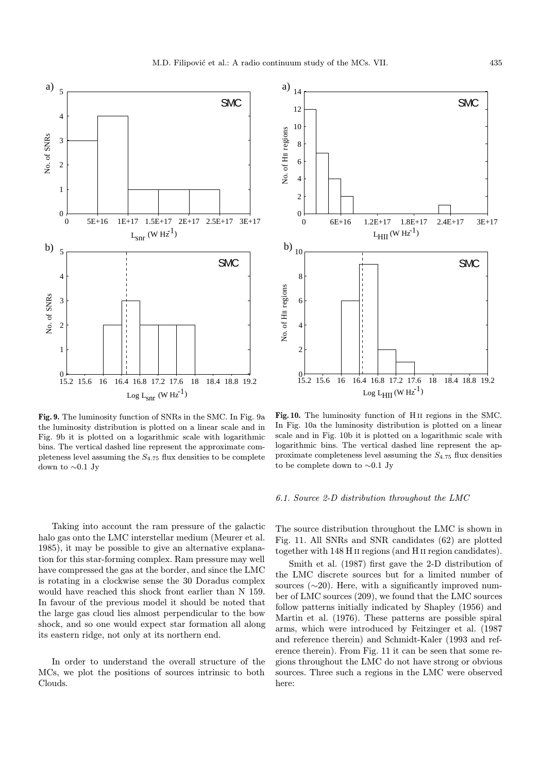

Fig. 9. The luminosity function of SNRs in the SMC. In Fig. 9a the luminosity distribution is plotted on a linear scale and in Fig. 9b it is plotted on a logarithmic scale with logarithmic bins. The vertical dashed line represent the approximate completeness level assuming the  $S_{4.75}$  flux densities to be complete down to ∼0.1 Jy

Taking into account the ram pressure of the galactic halo gas onto the LMC interstellar medium (Meurer et al. 1985), it may be possible to give an alternative explanation for this star-forming complex. Ram pressure may well have compressed the gas at the border, and since the LMC is rotating in a clockwise sense the 30 Doradus complex would have reached this shock front earlier than N 159. In favour of the previous model it should be noted that the large gas cloud lies almost perpendicular to the bow shock, and so one would expect star formation all along its eastern ridge, not only at its northern end.

In order to understand the overall structure of the MCs, we plot the positions of sources intrinsic to both Clouds.



Fig. 10. The luminosity function of H<sub>II</sub> regions in the SMC. In Fig. 10a the luminosity distribution is plotted on a linear scale and in Fig. 10b it is plotted on a logarithmic scale with logarithmic bins. The vertical dashed line represent the approximate completeness level assuming the  $S_{4.75}$  flux densities to be complete down to ∼0.1 Jy

## 6.1. Source 2-D distribution throughout the LMC

The source distribution throughout the LMC is shown in Fig. 11. All SNRs and SNR candidates (62) are plotted together with 148 H ii regions (and H ii region candidates).

Smith et al. (1987) first gave the 2-D distribution of the LMC discrete sources but for a limited number of sources  $(\sim 20)$ . Here, with a significantly improved number of LMC sources (209), we found that the LMC sources follow patterns initially indicated by Shapley (1956) and Martin et al. (1976). These patterns are possible spiral arms, which were introduced by Feitzinger et al. (1987 and reference therein) and Schmidt-Kaler (1993 and reference therein). From Fig. 11 it can be seen that some regions throughout the LMC do not have strong or obvious sources. Three such a regions in the LMC were observed here: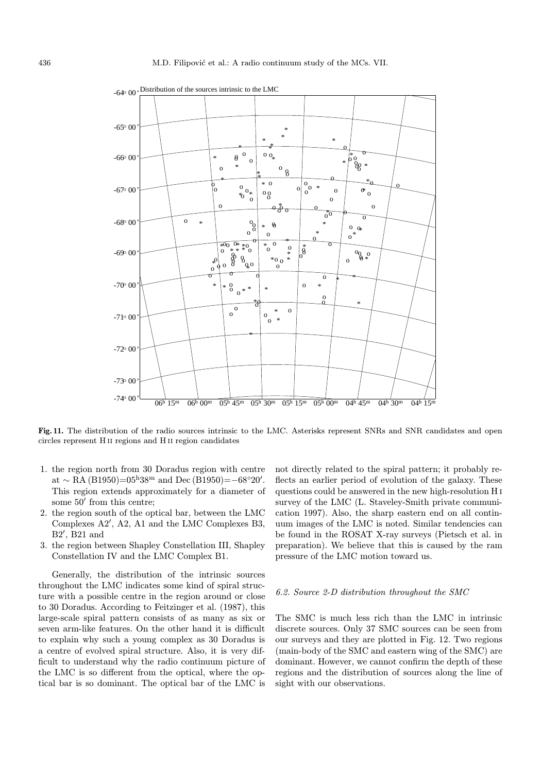

 $-640\,00$ , Distribution of the sources intrinsic to the LMC

Fig. 11. The distribution of the radio sources intrinsic to the LMC. Asterisks represent SNRs and SNR candidates and open circles represent H ii regions and H ii region candidates

- 1. the region north from 30 Doradus region with centre  $\text{at} \sim \text{RA} (\text{B1950}) = 05^{\text{h}} 38^{\text{m}} \text{ and Dec} (\text{B1950}) = -68^{\circ} 20'.$ This region extends approximately for a diameter of some  $50'$  from this centre:
- 2. the region south of the optical bar, between the LMC Complexes  $A2'$ ,  $A2$ ,  $A1$  and the LMC Complexes B3,  $B2'$ ,  $B21$  and
- 3. the region between Shapley Constellation III, Shapley Constellation IV and the LMC Complex B1.

Generally, the distribution of the intrinsic sources throughout the LMC indicates some kind of spiral structure with a possible centre in the region around or close to 30 Doradus. According to Feitzinger et al. (1987), this large-scale spiral pattern consists of as many as six or seven arm-like features. On the other hand it is difficult to explain why such a young complex as 30 Doradus is a centre of evolved spiral structure. Also, it is very difficult to understand why the radio continuum picture of the LMC is so different from the optical, where the optical bar is so dominant. The optical bar of the LMC is

not directly related to the spiral pattern; it probably reflects an earlier period of evolution of the galaxy. These questions could be answered in the new high-resolution H i survey of the LMC (L. Staveley-Smith private communication 1997). Also, the sharp eastern end on all continuum images of the LMC is noted. Similar tendencies can be found in the ROSAT X-ray surveys (Pietsch et al. in preparation). We believe that this is caused by the ram pressure of the LMC motion toward us.

#### 6.2. Source 2-D distribution throughout the SMC

The SMC is much less rich than the LMC in intrinsic discrete sources. Only 37 SMC sources can be seen from our surveys and they are plotted in Fig. 12. Two regions (main-body of the SMC and eastern wing of the SMC) are dominant. However, we cannot confirm the depth of these regions and the distribution of sources along the line of sight with our observations.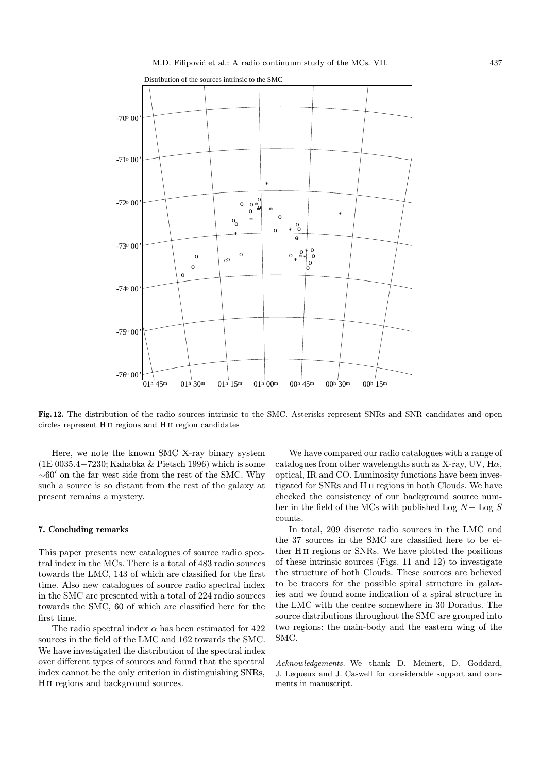

Fig. 12. The distribution of the radio sources intrinsic to the SMC. Asterisks represent SNRs and SNR candidates and open circles represent H ii regions and H ii region candidates

Here, we note the known SMC X-ray binary system (1E 0035.4−7230; Kahabka & Pietsch 1996) which is some  $\sim 60'$  on the far west side from the rest of the SMC. Why such a source is so distant from the rest of the galaxy at present remains a mystery.

## 7. Concluding remarks

This paper presents new catalogues of source radio spectral index in the MCs. There is a total of 483 radio sources towards the LMC, 143 of which are classified for the first time. Also new catalogues of source radio spectral index in the SMC are presented with a total of 224 radio sources towards the SMC, 60 of which are classified here for the first time.

The radio spectral index  $\alpha$  has been estimated for 422 sources in the field of the LMC and 162 towards the SMC. We have investigated the distribution of the spectral index over different types of sources and found that the spectral index cannot be the only criterion in distinguishing SNRs, H<sub>II</sub> regions and background sources.

We have compared our radio catalogues with a range of catalogues from other wavelengths such as X-ray, UV,  $H\alpha$ , optical, IR and CO. Luminosity functions have been investigated for SNRs and H ii regions in both Clouds. We have checked the consistency of our background source number in the field of the MCs with published Log  $N-$  Log  $S$ counts.

In total, 209 discrete radio sources in the LMC and the 37 sources in the SMC are classified here to be either H ii regions or SNRs. We have plotted the positions of these intrinsic sources (Figs. 11 and 12) to investigate the structure of both Clouds. These sources are believed to be tracers for the possible spiral structure in galaxies and we found some indication of a spiral structure in the LMC with the centre somewhere in 30 Doradus. The source distributions throughout the SMC are grouped into two regions: the main-body and the eastern wing of the SMC.

Acknowledgements. We thank D. Meinert, D. Goddard, J. Lequeux and J. Caswell for considerable support and comments in manuscript.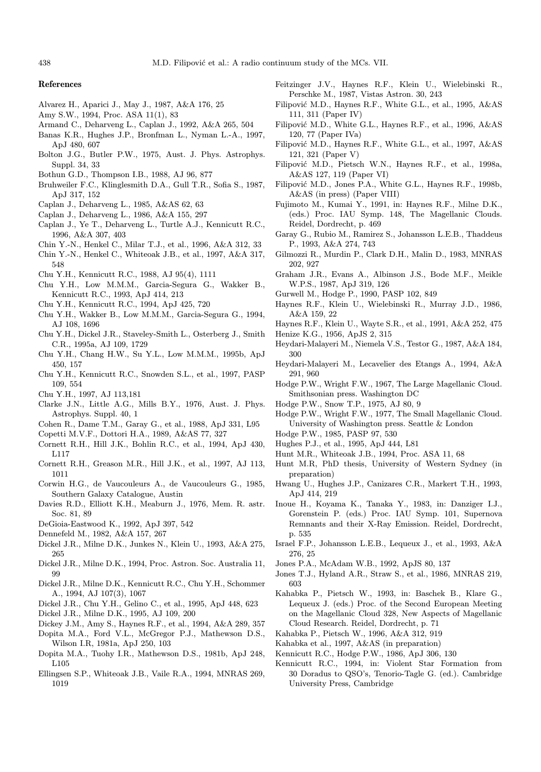#### References

- Alvarez H., Aparici J., May J., 1987, A&A 176, 25
- Amy S.W., 1994, Proc. ASA 11(1), 83
- Armand C., Deharveng L., Caplan J., 1992, A&A 265, 504
- Banas K.R., Hughes J.P., Bronfman L., Nyman L.-A., 1997, ApJ 480, 607
- Bolton J.G., Butler P.W., 1975, Aust. J. Phys. Astrophys. Suppl. 34, 33
- Bothun G.D., Thompson I.B., 1988, AJ 96, 877
- Bruhweiler F.C., Klinglesmith D.A., Gull T.R., Sofia S., 1987, ApJ 317, 152
- Caplan J., Deharveng L., 1985, A&AS 62, 63
- Caplan J., Deharveng L., 1986, A&A 155, 297
- Caplan J., Ye T., Deharveng L., Turtle A.J., Kennicutt R.C., 1996, A&A 307, 403
- Chin Y.-N., Henkel C., Milar T.J., et al., 1996, A&A 312, 33
- Chin Y.-N., Henkel C., Whiteoak J.B., et al., 1997, A&A 317, 548
- Chu Y.H., Kennicutt R.C., 1988, AJ 95(4), 1111
- Chu Y.H., Low M.M.M., Garcia-Segura G., Wakker B., Kennicutt R.C., 1993, ApJ 414, 213
- Chu Y.H., Kennicutt R.C., 1994, ApJ 425, 720
- Chu Y.H., Wakker B., Low M.M.M., Garcia-Segura G., 1994, AJ 108, 1696
- Chu Y.H., Dickel J.R., Staveley-Smith L., Osterberg J., Smith C.R., 1995a, AJ 109, 1729
- Chu Y.H., Chang H.W., Su Y.L., Low M.M.M., 1995b, ApJ 450, 157
- Chu Y.H., Kennicutt R.C., Snowden S.L., et al., 1997, PASP 109, 554
- Chu Y.H., 1997, AJ 113,181
- Clarke J.N., Little A.G., Mills B.Y., 1976, Aust. J. Phys. Astrophys. Suppl. 40, 1
- Cohen R., Dame T.M., Garay G., et al., 1988, ApJ 331, L95
- Copetti M.V.F., Dottori H.A., 1989, A&AS 77, 327
- Cornett R.H., Hill J.K., Bohlin R.C., et al., 1994, ApJ 430, L117
- Cornett R.H., Greason M.R., Hill J.K., et al., 1997, AJ 113, 1011
- Corwin H.G., de Vaucouleurs A., de Vaucouleurs G., 1985, Southern Galaxy Catalogue, Austin
- Davies R.D., Elliott K.H., Meaburn J., 1976, Mem. R. astr. Soc. 81, 89
- DeGioia-Eastwood K., 1992, ApJ 397, 542
- Dennefeld M., 1982, A&A 157, 267
- Dickel J.R., Milne D.K., Junkes N., Klein U., 1993, A&A 275, 265
- Dickel J.R., Milne D.K., 1994, Proc. Astron. Soc. Australia 11, 99
- Dickel J.R., Milne D.K., Kennicutt R.C., Chu Y.H., Schommer A., 1994, AJ 107(3), 1067
- Dickel J.R., Chu Y.H., Gelino C., et al., 1995, ApJ 448, 623
- Dickel J.R., Milne D.K., 1995, AJ 109, 200
- Dickey J.M., Amy S., Haynes R.F., et al., 1994, A&A 289, 357
- Dopita M.A., Ford V.L., McGregor P.J., Mathewson D.S., Wilson I.R, 1981a, ApJ 250, 103
- Dopita M.A., Tuohy I.R., Mathewson D.S., 1981b, ApJ 248, L105
- Ellingsen S.P., Whiteoak J.B., Vaile R.A., 1994, MNRAS 269, 1019
- Feitzinger J.V., Haynes R.F., Klein U., Wielebinski R., Perschke M., 1987, Vistas Astron. 30, 243
- Filipović M.D., Haynes R.F., White G.L., et al., 1995, A&AS 111, 311 (Paper IV)
- Filipović M.D., White G.L., Haynes R.F., et al., 1996, A&AS 120, 77 (Paper IVa)
- Filipović M.D., Haynes R.F., White G.L., et al., 1997, A&AS 121, 321 (Paper V)
- Filipović M.D., Pietsch W.N., Haynes R.F., et al., 1998a, A&AS 127, 119 (Paper VI)
- Filipović M.D., Jones P.A., White G.L., Haynes R.F., 1998b, A&AS (in press) (Paper VIII)
- Fujimoto M., Kumai Y., 1991, in: Haynes R.F., Milne D.K., (eds.) Proc. IAU Symp. 148, The Magellanic Clouds. Reidel, Dordrecht, p. 469
- Garay G., Rubio M., Ramirez S., Johansson L.E.B., Thaddeus P., 1993, A&A 274, 743
- Gilmozzi R., Murdin P., Clark D.H., Malin D., 1983, MNRAS 202, 927
- Graham J.R., Evans A., Albinson J.S., Bode M.F., Meikle W.P.S., 1987, ApJ 319, 126
- Gurwell M., Hodge P., 1990, PASP 102, 849
- Haynes R.F., Klein U., Wielebinski R., Murray J.D., 1986, A&A 159, 22
- Haynes R.F., Klein U., Wayte S.R., et al., 1991, A&A 252, 475 Henize K.G., 1956, ApJS 2, 315
- Heydari-Malayeri M., Niemela V.S., Testor G., 1987, A&A 184, 300
- Heydari-Malayeri M., Lecavelier des Etangs A., 1994, A&A 291, 960
- Hodge P.W., Wright F.W., 1967, The Large Magellanic Cloud. Smithsonian press. Washington DC
- Hodge P.W., Snow T.P., 1975, AJ 80, 9
- Hodge P.W., Wright F.W., 1977, The Small Magellanic Cloud. University of Washington press. Seattle & London
- Hodge P.W., 1985, PASP 97, 530
- Hughes P.J., et al., 1995, ApJ 444, L81
- Hunt M.R., Whiteoak J.B., 1994, Proc. ASA 11, 68
- Hunt M.R, PhD thesis, University of Western Sydney (in preparation)
- Hwang U., Hughes J.P., Canizares C.R., Markert T.H., 1993, ApJ 414, 219
- Inoue H., Koyama K., Tanaka Y., 1983, in: Danziger I.J., Gorenstein P. (eds.) Proc. IAU Symp. 101, Supernova Remnants and their X-Ray Emission. Reidel, Dordrecht, p. 535
- Israel F.P., Johansson L.E.B., Lequeux J., et al., 1993, A&A 276, 25
- Jones P.A., McAdam W.B., 1992, ApJS 80, 137
- Jones T.J., Hyland A.R., Straw S., et al., 1986, MNRAS 219, 603
- Kahabka P., Pietsch W., 1993, in: Baschek B., Klare G., Lequeux J. (eds.) Proc. of the Second European Meeting on the Magellanic Cloud 328, New Aspects of Magellanic Cloud Research. Reidel, Dordrecht, p. 71
- Kahabka P., Pietsch W., 1996, A&A 312, 919
- Kahabka et al., 1997, A&AS (in preparation)
- Kennicutt R.C., Hodge P.W., 1986, ApJ 306, 130
- Kennicutt R.C., 1994, in: Violent Star Formation from 30 Doradus to QSO's, Tenorio-Tagle G. (ed.). Cambridge University Press, Cambridge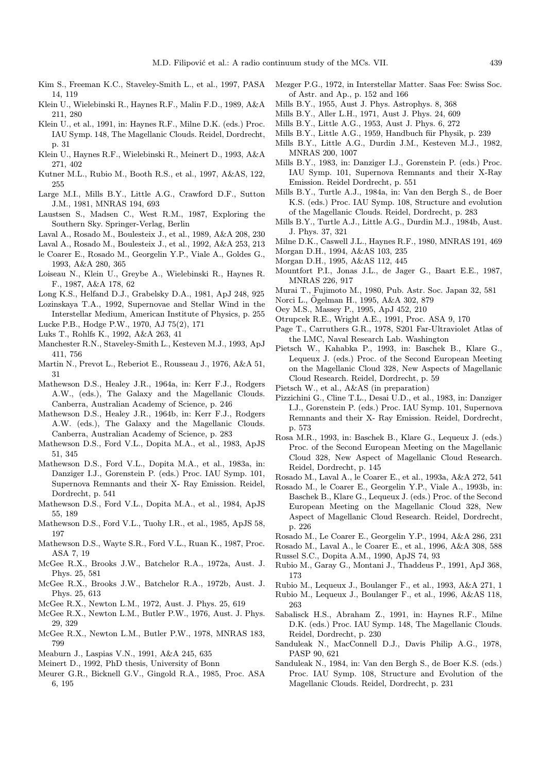- Kim S., Freeman K.C., Staveley-Smith L., et al., 1997, PASA 14, 119
- Klein U., Wielebinski R., Haynes R.F., Malin F.D., 1989, A&A 211, 280
- Klein U., et al., 1991, in: Haynes R.F., Milne D.K. (eds.) Proc. IAU Symp. 148, The Magellanic Clouds. Reidel, Dordrecht, p. 31
- Klein U., Haynes R.F., Wielebinski R., Meinert D., 1993, A&A 271, 402
- Kutner M.L., Rubio M., Booth R.S., et al., 1997, A&AS, 122, 255
- Large M.I., Mills B.Y., Little A.G., Crawford D.F., Sutton J.M., 1981, MNRAS 194, 693
- Laustsen S., Madsen C., West R.M., 1987, Exploring the Southern Sky. Springer-Verlag, Berlin
- Laval A., Rosado M., Boulesteix J., et al., 1989, A&A 208, 230
- Laval A., Rosado M., Boulesteix J., et al., 1992, A&A 253, 213
- le Coarer E., Rosado M., Georgelin Y.P., Viale A., Goldes G., 1993, A&A 280, 365
- Loiseau N., Klein U., Greybe A., Wielebinski R., Haynes R. F., 1987, A&A 178, 62
- Long K.S., Helfand D.J., Grabelsky D.A., 1981, ApJ 248, 925
- Lozinskaya T.A., 1992, Supernovae and Stellar Wind in the
- Interstellar Medium, American Institute of Physics, p. 255 Lucke P.B., Hodge P.W., 1970, AJ 75(2), 171
- Luks T., Rohlfs K., 1992, A&A 263, 41
- Manchester R.N., Staveley-Smith L., Kesteven M.J., 1993, ApJ 411, 756
- Martin N., Prevot L., Reberiot E., Rousseau J., 1976, A&A 51, 31
- Mathewson D.S., Healey J.R., 1964a, in: Kerr F.J., Rodgers A.W., (eds.), The Galaxy and the Magellanic Clouds. Canberra, Australian Academy of Science, p. 246
- Mathewson D.S., Healey J.R., 1964b, in: Kerr F.J., Rodgers A.W. (eds.), The Galaxy and the Magellanic Clouds. Canberra, Australian Academy of Science, p. 283
- Mathewson D.S., Ford V.L., Dopita M.A., et al., 1983, ApJS 51, 345
- Mathewson D.S., Ford V.L., Dopita M.A., et al., 1983a, in: Danziger I.J., Gorenstein P. (eds.) Proc. IAU Symp. 101, Supernova Remnants and their X- Ray Emission. Reidel, Dordrecht, p. 541
- Mathewson D.S., Ford V.L., Dopita M.A., et al., 1984, ApJS 55, 189
- Mathewson D.S., Ford V.L., Tuohy I.R., et al., 1985, ApJS 58, 197
- Mathewson D.S., Wayte S.R., Ford V.L., Ruan K., 1987, Proc. ASA 7, 19
- McGee R.X., Brooks J.W., Batchelor R.A., 1972a, Aust. J. Phys. 25, 581
- McGee R.X., Brooks J.W., Batchelor R.A., 1972b, Aust. J. Phys. 25, 613
- McGee R.X., Newton L.M., 1972, Aust. J. Phys. 25, 619
- McGee R.X., Newton L.M., Butler P.W., 1976, Aust. J. Phys. 29, 329
- McGee R.X., Newton L.M., Butler P.W., 1978, MNRAS 183, 799
- Meaburn J., Laspias V.N., 1991, A&A 245, 635
- Meinert D., 1992, PhD thesis, University of Bonn
- Meurer G.R., Bicknell G.V., Gingold R.A., 1985, Proc. ASA 6, 195
- Mezger P.G., 1972, in Interstellar Matter. Saas Fee: Swiss Soc. of Astr. and Ap., p. 152 and 166
- Mills B.Y., 1955, Aust J. Phys. Astrophys. 8, 368
- Mills B.Y., Aller L.H., 1971, Aust J. Phys. 24, 609
- Mills B.Y., Little A.G., 1953, Aust J. Phys. 6, 272
- Mills B.Y., Little A.G., 1959, Handbuch für Physik, p. 239
- Mills B.Y., Little A.G., Durdin J.M., Kesteven M.J., 1982, MNRAS 200, 1007
- Mills B.Y., 1983, in: Danziger I.J., Gorenstein P. (eds.) Proc. IAU Symp. 101, Supernova Remnants and their X-Ray Emission. Reidel Dordrecht, p. 551
- Mills B.Y., Turtle A.J., 1984a, in: Van den Bergh S., de Boer K.S. (eds.) Proc. IAU Symp. 108, Structure and evolution of the Magellanic Clouds. Reidel, Dordrecht, p. 283
- Mills B.Y., Turtle A.J., Little A.G., Durdin M.J., 1984b, Aust. J. Phys. 37, 321
- Milne D.K., Caswell J.L., Haynes R.F., 1980, MNRAS 191, 469
- Morgan D.H., 1994, A&AS 103, 235
- Morgan D.H., 1995, A&AS 112, 445
- Mountfort P.I., Jonas J.L., de Jager G., Baart E.E., 1987, MNRAS 226, 917
- Murai T., Fujimoto M., 1980, Pub. Astr. Soc. Japan 32, 581
- Norci L., Ogelman H., 1995, A&A 302, 879 ¨
- Oey M.S., Massey P., 1995, ApJ 452, 210
- Otrupcek R.E., Wright A.E., 1991, Proc. ASA 9, 170
- Page T., Carruthers G.R., 1978, S201 Far-Ultraviolet Atlas of the LMC, Naval Research Lab. Washington
- Pietsch W., Kahabka P., 1993, in: Baschek B., Klare G., Lequeux J. (eds.) Proc. of the Second European Meeting on the Magellanic Cloud 328, New Aspects of Magellanic Cloud Research. Reidel, Dordrecht, p. 59
- Pietsch W., et al., A&AS (in preparation)
- Pizzichini G., Cline T.L., Desai U.D., et al., 1983, in: Danziger I.J., Gorenstein P. (eds.) Proc. IAU Symp. 101, Supernova Remnants and their X- Ray Emission. Reidel, Dordrecht, p. 573
- Rosa M.R., 1993, in: Baschek B., Klare G., Lequeux J. (eds.) Proc. of the Second European Meeting on the Magellanic Cloud 328, New Aspect of Magellanic Cloud Research. Reidel, Dordrecht, p. 145

Rosado M., Laval A., le Coarer E., et al., 1993a, A&A 272, 541

- Rosado M., le Coarer E., Georgelin Y.P., Viale A., 1993b, in: Baschek B., Klare G., Lequeux J. (eds.) Proc. of the Second European Meeting on the Magellanic Cloud 328, New Aspect of Magellanic Cloud Research. Reidel, Dordrecht, p. 226
- Rosado M., Le Coarer E., Georgelin Y.P., 1994, A&A 286, 231

Rosado M., Laval A., le Coarer E., et al., 1996, A&A 308, 588

- Russel S.C., Dopita A.M., 1990, ApJS 74, 93
- Rubio M., Garay G., Montani J., Thaddeus P., 1991, ApJ 368, 173
- Rubio M., Lequeux J., Boulanger F., et al., 1993, A&A 271, 1
- Rubio M., Lequeux J., Boulanger F., et al., 1996, A&AS 118, 263
- Sabalisck H.S., Abraham Z., 1991, in: Haynes R.F., Milne D.K. (eds.) Proc. IAU Symp. 148, The Magellanic Clouds. Reidel, Dordrecht, p. 230
- Sanduleak N., MacConnell D.J., Davis Philip A.G., 1978, PASP 90, 621
- Sanduleak N., 1984, in: Van den Bergh S., de Boer K.S. (eds.) Proc. IAU Symp. 108, Structure and Evolution of the Magellanic Clouds. Reidel, Dordrecht, p. 231